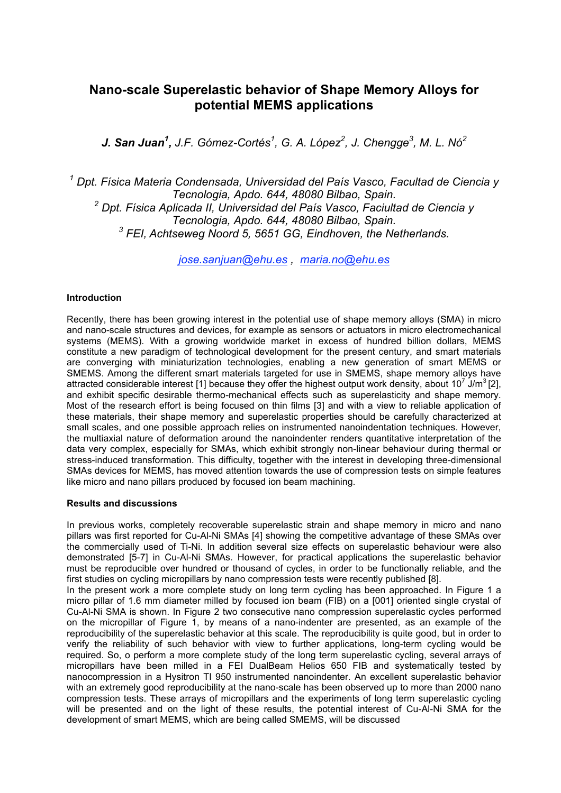# **Nano-scale Superelastic behavior of Shape Memory Alloys for potential MEMS applications**

*J. San Juan1 , J.F. Gómez-Cortés<sup>1</sup> , G. A. López2 , J. Chengge<sup>3</sup> , M. L. Nó<sup>2</sup>*

*1 Dpt. Física Materia Condensada, Universidad del País Vasco, Facultad de Ciencia y Tecnologia, Apdo. 644, 48080 Bilbao, Spain. <sup>2</sup> Dpt. Física Aplicada II, Universidad del País Vasco, Faciultad de Ciencia y Tecnologia, Apdo. 644, 48080 Bilbao, Spain. <sup>3</sup> FEI, Achtseweg Noord 5, 5651 GG, Eindhoven, the Netherlands.*

*jose.sanjuan@ehu.es , maria.no@ehu.es*

## **Introduction**

Recently, there has been growing interest in the potential use of shape memory alloys (SMA) in micro and nano-scale structures and devices, for example as sensors or actuators in micro electromechanical systems (MEMS). With a growing worldwide market in excess of hundred billion dollars, MEMS constitute a new paradigm of technological development for the present century, and smart materials are converging with miniaturization technologies, enabling a new generation of smart MEMS or SMEMS. Among the different smart materials targeted for use in SMEMS, shape memory alloys have attracted considerable interest [1] because they offer the highest output work density, about 10<sup>7</sup> J/m<sup>3</sup> [2], and exhibit specific desirable thermo-mechanical effects such as superelasticity and shape memory. Most of the research effort is being focused on thin films [3] and with a view to reliable application of these materials, their shape memory and superelastic properties should be carefully characterized at small scales, and one possible approach relies on instrumented nanoindentation techniques. However, the multiaxial nature of deformation around the nanoindenter renders quantitative interpretation of the data very complex, especially for SMAs, which exhibit strongly non-linear behaviour during thermal or stress-induced transformation. This difficulty, together with the interest in developing three-dimensional SMAs devices for MEMS, has moved attention towards the use of compression tests on simple features like micro and nano pillars produced by focused ion beam machining.

## **Results and discussions**

In previous works, completely recoverable superelastic strain and shape memory in micro and nano pillars was first reported for Cu-Al-Ni SMAs [4] showing the competitive advantage of these SMAs over the commercially used of Ti-Ni. In addition several size effects on superelastic behaviour were also demonstrated [5-7] in Cu-Al-Ni SMAs. However, for practical applications the superelastic behavior must be reproducible over hundred or thousand of cycles, in order to be functionally reliable, and the first studies on cycling micropillars by nano compression tests were recently published [8]. In the present work a more complete study on long term cycling has been approached. In Figure 1 a micro pillar of 1.6 mm diameter milled by focused ion beam (FIB) on a [001] oriented single crystal of Cu-Al-Ni SMA is shown. In Figure 2 two consecutive nano compression superelastic cycles performed on the micropillar of Figure 1, by means of a nano-indenter are presented, as an example of the reproducibility of the superelastic behavior at this scale. The reproducibility is quite good, but in order to verify the reliability of such behavior with view to further applications, long-term cycling would be required. So, o perform a more complete study of the long term superelastic cycling, several arrays of

micropillars have been milled in a FEI DualBeam Helios 650 FIB and systematically tested by nanocompression in a Hysitron TI 950 instrumented nanoindenter. An excellent superelastic behavior with an extremely good reproducibility at the nano-scale has been observed up to more than 2000 nano compression tests. These arrays of micropillars and the experiments of long term superelastic cycling will be presented and on the light of these results, the potential interest of Cu-Al-Ni SMA for the development of smart MEMS, which are being called SMEMS, will be discussed